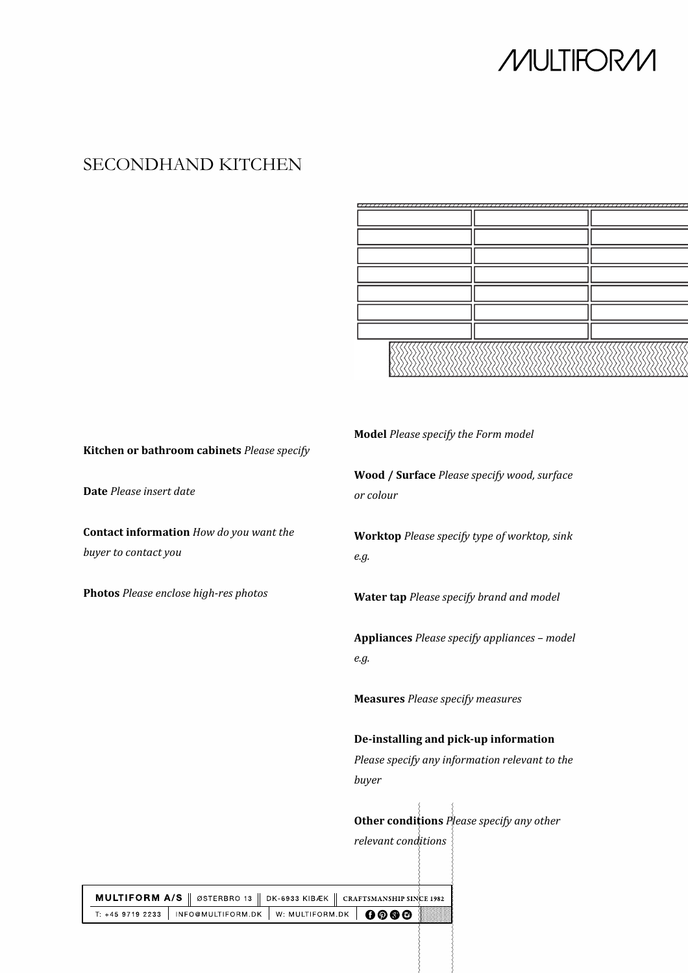## **MULTIFORM**

## SECONDHAND KITCHEN

## **Kitchen or bathroom cabinets** *Please specify*

**Date** *Please insert date*

**Contact information** *How do you want the buyer to contact you*

**Photos** *Please enclose high-res photos*

**Model** *Please specify the Form model*

**Wood / Surface** *Please specify wood, surface or colour*

**Worktop** *Please specify type of worktop, sink e.g.*

**Water tap** *Please specify brand and model*

**Appliances** *Please specify appliances – model e.g.*

**Measures** *Please specify measures*

### **De-installing and pick-up information**

*Please specify any information relevant to the buyer*

**Other conditions** *Please specify any other relevant conditions*

| <b>MULTIFORM A/S</b>    ØSTERBRO 13    DK-6933 KIBÆK    CRAFTSMANSHIP SINCE 1982 |  |  |  |  |
|----------------------------------------------------------------------------------|--|--|--|--|
| $\overline{t}$ : +45 9719 2233   INFO@MULTIFORM.DK   W: MULTIFORM.DK   0000      |  |  |  |  |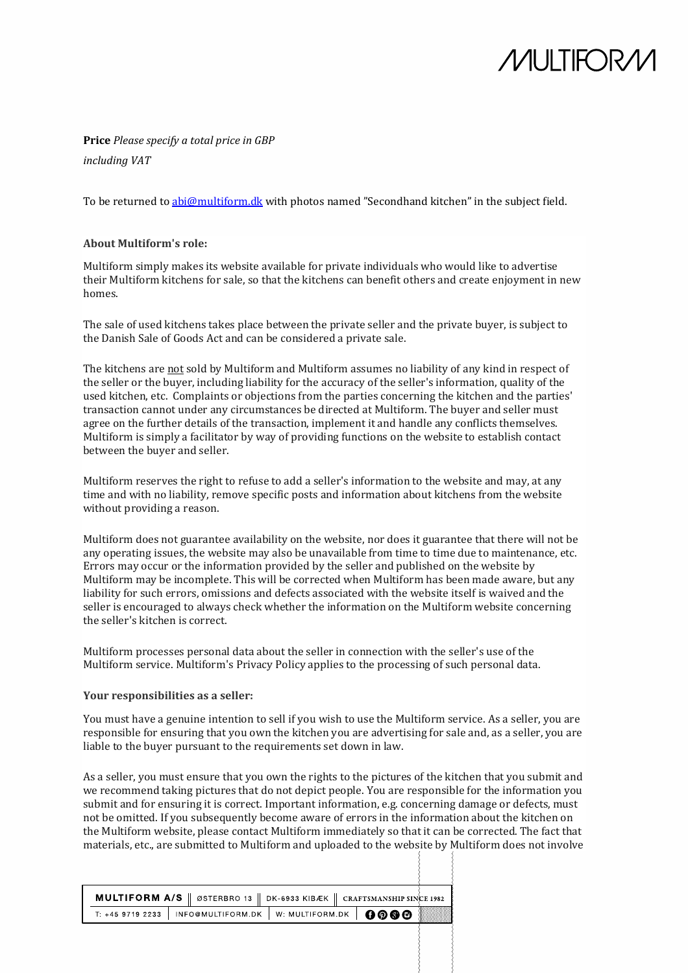# *M*ULTIFOR/L

## **Price** *Please specify a total price in GBP*

*including VAT*

To be returned to [abi@multiform.dk](mailto:abi@multiform.dk) with photos named "Secondhand kitchen" in the subject field.

#### **About Multiform's role:**

Multiform simply makes its website available for private individuals who would like to advertise their Multiform kitchens for sale, so that the kitchens can benefit others and create enjoyment in new homes.

The sale of used kitchens takes place between the private seller and the private buyer, is subject to the Danish Sale of Goods Act and can be considered a private sale.

The kitchens are not sold by Multiform and Multiform assumes no liability of any kind in respect of the seller or the buyer, including liability for the accuracy of the seller's information, quality of the used kitchen, etc. Complaints or objections from the parties concerning the kitchen and the parties' transaction cannot under any circumstances be directed at Multiform. The buyer and seller must agree on the further details of the transaction, implement it and handle any conflicts themselves. Multiform is simply a facilitator by way of providing functions on the website to establish contact between the buyer and seller.

Multiform reserves the right to refuse to add a seller's information to the website and may, at any time and with no liability, remove specific posts and information about kitchens from the website without providing a reason.

Multiform does not guarantee availability on the website, nor does it guarantee that there will not be any operating issues, the website may also be unavailable from time to time due to maintenance, etc. Errors may occur or the information provided by the seller and published on the website by Multiform may be incomplete. This will be corrected when Multiform has been made aware, but any liability for such errors, omissions and defects associated with the website itself is waived and the seller is encouraged to always check whether the information on the Multiform website concerning the seller's kitchen is correct.

Multiform processes personal data about the seller in connection with the seller's use of the Multiform service. Multiform's Privacy Policy applies to the processing of such personal data.

#### **Your responsibilities as a seller:**

You must have a genuine intention to sell if you wish to use the Multiform service. As a seller, you are responsible for ensuring that you own the kitchen you are advertising for sale and, as a seller, you are liable to the buyer pursuant to the requirements set down in law.

As a seller, you must ensure that you own the rights to the pictures of the kitchen that you submit and we recommend taking pictures that do not depict people. You are responsible for the information you submit and for ensuring it is correct. Important information, e.g. concerning damage or defects, must not be omitted. If you subsequently become aware of errors in the information about the kitchen on the Multiform website, please contact Multiform immediately so that it can be corrected. The fact that materials, etc., are submitted to Multiform and uploaded to the website by Multiform does not involve

| <b>MULTIFORM A/S</b>    ØSTERBRO 13    DK-6933 KIBÆK    CRAFTSMANSHIP SINCE 1982 |  |  |  |  |
|----------------------------------------------------------------------------------|--|--|--|--|
| T: +45 9719 2233   INFO@MULTIFORM.DK   W: MULTIFORM.DK   00000                   |  |  |  |  |